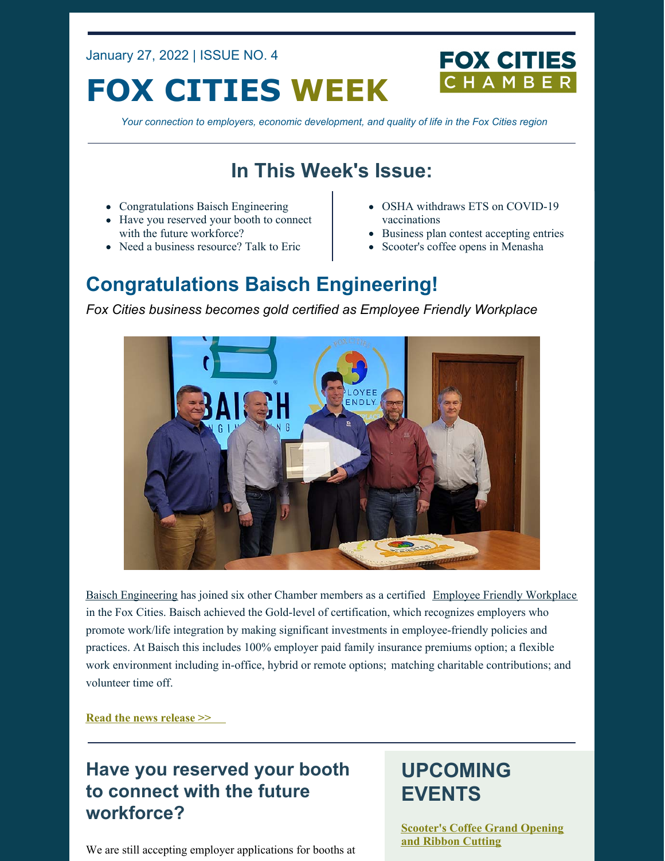January 27, 2022 | ISSUE NO. 4

# **FOX CITIES WEEK**



*Your connection to employers, economic development, and quality of life in the Fox Cities region*

## **In This Week's Issue:**

- Congratulations Baisch Engineering
- Have you reserved your booth to connect with the future workforce?
- Need a business resource? Talk to Eric
- OSHA withdraws ETS on COVID-19 vaccinations
- Business plan contest accepting entries
- Scooter's coffee opens in Menasha

## **Congratulations Baisch Engineering!**

*Fox Cities business becomes gold certified as Employee Friendly Workplace*



Baisch [Engineering](https://www.baisch.com/) has joined six other Chamber members as a certified Employee Friendly [Workplace](https://foxcitieschamber.com/employee-friendly-workplace) in the Fox Cities. Baisch achieved the Gold-level of certification, which recognizes employers who promote work/life integration by making significant investments in employee-friendly policies and practices. At Baisch this includes 100% employer paid family insurance premiums option; a flexible work environment including in-office, hybrid or remote options; matching charitable contributions; and volunteer time off.

**Read the news [release](https://foxcitieschamber.com/news/2022/01/27/member-news/fox-cities-chamber-of-commerce-certifies-baisch-engineering-as-gold-level-employee-friendly-workplace/) >>**

## **Have you reserved your booth to connect with the future workforce?**

We are still accepting employer applications for booths at

## **UPCOMING EVENTS**

**[Scooter's](https://business.foxcitieschamber.com/events/details/scooter-s-coffee-grand-opening-and-ribbon-cutting-17440) Coffee Grand Opening and Ribbon Cutting**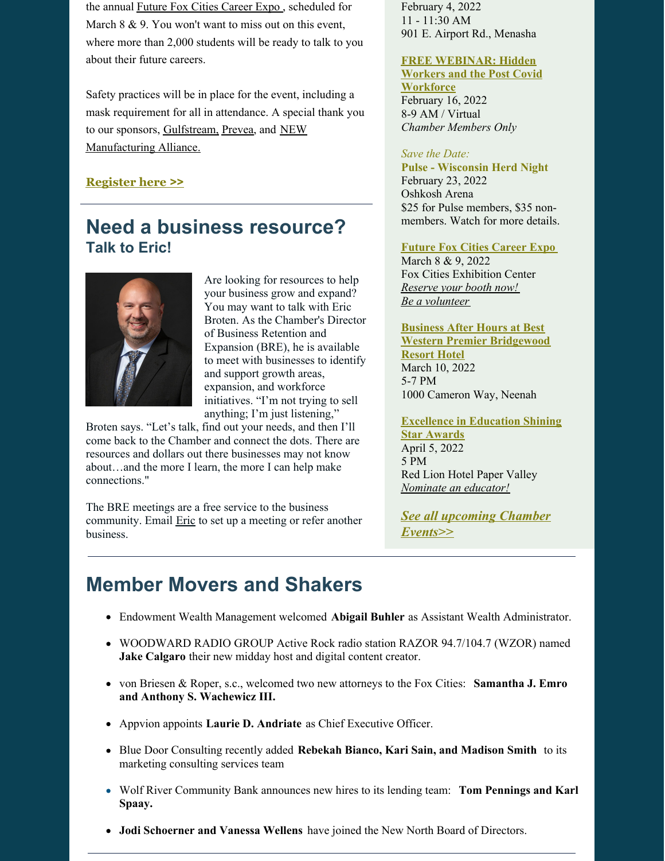the annual Future Fox Cities [Career](https://foxcitieschamber.com/talent/future-fox-cities-fox-cities-chamber/) Expo , scheduled for March 8 & 9. You won't want to miss out on this event, where more than 2,000 students will be ready to talk to you about their future careers.

Safety practices will be in place for the event, including a mask requirement for all in attendance. A special thank you to our sponsors, [Gulfstream,](https://www.gulfstream.com/en/) [Prevea](https://www.prevea.com/), and NEW [Manufacturing](https://newmfgalliance.org/) Alliance.

### **[Register](https://www.jotform.com/form/212994274213154) here >>**

### **Need a business resource? Talk to Eric!**



Are looking for resources to help your business grow and expand? You may want to talk with Eric Broten. As the Chamber's Director of Business Retention and Expansion (BRE), he is available to meet with businesses to identify and support growth areas, expansion, and workforce initiatives. "I'm not trying to sell anything; I'm just listening,"

Broten says. "Let's talk, find out your needs, and then I'll come back to the Chamber and connect the dots. There are resources and dollars out there businesses may not know about…and the more I learn, the more I can help make connections."

The BRE meetings are a free service to the business community. Email **[Eric](mailto:ebroten@foxcitieschamber.com)** to set up a meeting or refer another business.

February 4, 2022 11 - 11:30 AM 901 E. Airport Rd., Menasha

#### **FREE [WEBINAR:](https://business.foxcitieschamber.com/events/details/hidden-workers-and-the-post-covid-workforce-17446) Hidden Workers and the Post Covid**

**Workforce** February 16, 2022 8-9 AM / Virtual *Chamber Members Only*

#### *Save the Date:*

**Pulse - Wisconsin Herd Night** February 23, 2022 Oshkosh Arena \$25 for Pulse members, \$35 nonmembers. Watch for more details.

#### **Future Fox Cities [Career](https://foxcitieschamber.com/talent/future-fox-cities-fox-cities-chamber/) Expo**

March 8 & 9, 2022 Fox Cities Exhibition Center *[Reserve](https://form.jotform.com/212994274213154) your booth now! Be a [volunteer](https://form.jotform.com/212994739819172)*

### **Business After Hours at Best Western Premier [Bridgewood](https://business.foxcitieschamber.com/events/details/2022-business-after-hours-march-17448) Resort Hotel** March 10, 2022 5-7 PM

1000 Cameron Way, Neenah

#### **[Excellence](https://foxcitieschamber.com/talent/excellence-in-education-awards-fox-cities-chamber/) in Education Shining Star Awards**

April 5, 2022 5 PM Red Lion Hotel Paper Valley *[Nominate](https://form.jotform.com/213205214034135) an educator!*

*See all [upcoming](https://business.foxcitieschamber.com/events/catgid/6) Chamber Events>>*

## **Member Movers and Shakers**

- Endowment Wealth Management welcomed **[Abigail](https://foxcitieschamber.com/news/2022/01/26/member-news/endowment-wealth-management-welcomes-abigail-buhler/) Buhler** as Assistant Wealth Administrator.
- WOODWARD RADIO GROUP Active Rock radio station RAZOR 94.7/104.7 (WZOR) named **Jake [Calgaro](https://foxcitieschamber.com/news/2022/01/26/member-news/jake-calgaro-takes-over-middays-social-media-for-wzor-fm/)** their new midday host and digital content creator.
- von Briesen & Roper, s.c., welcomed two new attorneys to the Fox Cities: **Samantha J. Emro and Anthony S. [Wachewicz](https://foxcitieschamber.com/news/2022/01/26/member-news/von-briesen-roper-s.c.-welcomes-new-attorneys/) III.**
- Appvion appoints **Laurie D. [Andriate](https://foxcitieschamber.com/news/2022/01/26/member-news/appvion-announces-the-appointment-of-laurie-andriate-as-ceo/)** as Chief Executive Officer.
- Blue Door Consulting recently added **[Rebekah](https://foxcitieschamber.com/news/2022/01/26/member-news/blue-door-consulting-adds-new-talent-to-marketing-consulting-services-team/) Bianco, Kari Sain, and Madison Smith** to its marketing consulting services team
- Wolf River [Community](https://foxcitieschamber.com/news/2022/01/26/member-news/wolf-river-community-bank-announces-new-hires-to-lending-team-to-enhance-its-continued-growth-in-the-fox-west-area/) Bank announces new hires to its lending team: **Tom Pennings and Karl Spaay.**
- **Jodi [Schoerner](https://foxcitieschamber.com/news/2022/01/26/member-news/two-regional-business-leaders-join-new-north-board-of-directors/) and Vanessa Wellens** have joined the New North Board of Directors.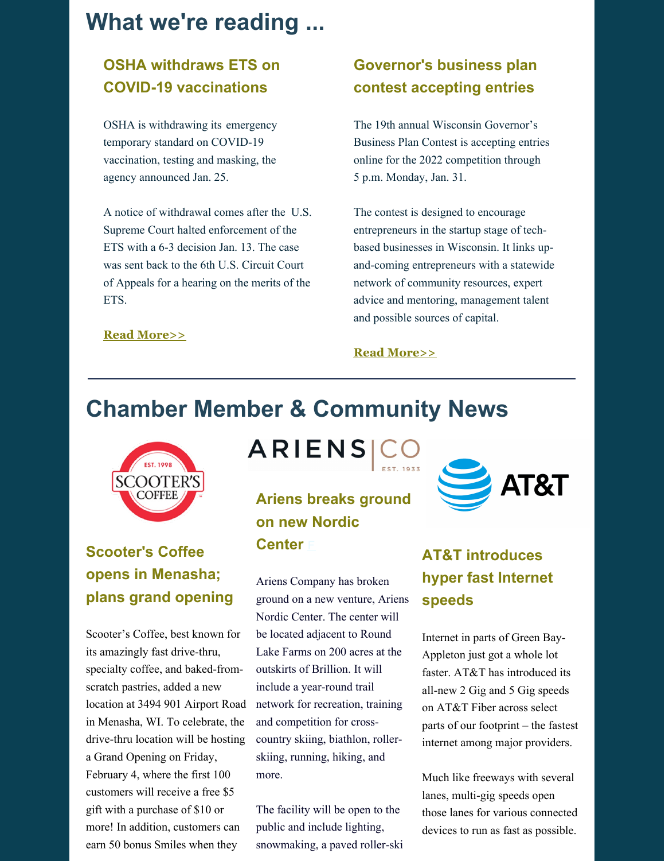## **What we're reading ...**

### **OSHA withdraws ETS on COVID-19 vaccinations**

OSHA is withdrawing its emergency temporary standard on COVID-19 vaccination, testing and masking, the agency announced Jan. 25.

A notice of withdrawal comes after the U.S. Supreme Court halted [enforcement](https://www.safetyandhealthmagazine.com/articles/22113-supreme-court-blocks-oshas-ets-on-covid-19) of the ETS with a 6-3 decision Jan. 13. The case was sent back to the 6th U.S. Circuit Court of Appeals for a hearing on the merits of the ETS.

### **Read [More>>](https://www.safetyandhealthmagazine.com/articles/22211-osha-withdraws-ets-on-covid-19-vaccination-and-testing)**

### **Governor's business plan contest accepting entries**

The 19th annual Wisconsin Governor's Business Plan Contest is accepting entries online for the 2022 competition through 5 p.m. Monday, Jan. 31.

The contest is designed to encourage entrepreneurs in the startup stage of techbased businesses in Wisconsin. It links upand-coming entrepreneurs with a statewide network of community resources, expert advice and mentoring, management talent and possible sources of capital.

#### **Read [More>>](https://govsbizplancontest.com/)**

## **Chamber Member & Community News**



## **Scooter's Coffee opens in Menasha; plans grand opening**

Scooter's Coffee, best known for its amazingly fast drive-thru, specialty coffee, and baked-fromscratch pastries, added a new location at 3494 901 Airport Road in Menasha, WI. To celebrate, the drive-thru location will be hosting a Grand Opening on Friday, February 4, where the first 100 customers will receive a free \$5 gift with a purchase of \$10 or more! In addition, customers can earn 50 bonus Smiles when they

ARIENS CO

## **Ariens breaks ground on new Nordic Center** [F](https://foxcitieschamber.com/news/2022/01/26/member-news/two-regional-business-leaders-join-new-north-board-of-directors/)

Ariens Company has broken ground on a new venture, Ariens Nordic Center. The center will be located adjacent to Round Lake Farms on 200 acres at the outskirts of Brillion. It will include a year-round trail network for recreation, training and competition for crosscountry skiing, biathlon, rollerskiing, running, hiking, and more.

The facility will be open to the public and include lighting, snowmaking, a paved roller-ski



### **AT&T introduces hyper fast Internet speeds**

Internet in parts of Green Bay-Appleton just got a whole lot faster. AT&T has introduced its all-new 2 Gig and 5 Gig speeds on AT&T Fiber across select parts of our footprint – the fastest internet among major providers.

Much like freeways with several lanes, multi-gig speeds open those lanes for various connected devices to run as fast as possible.